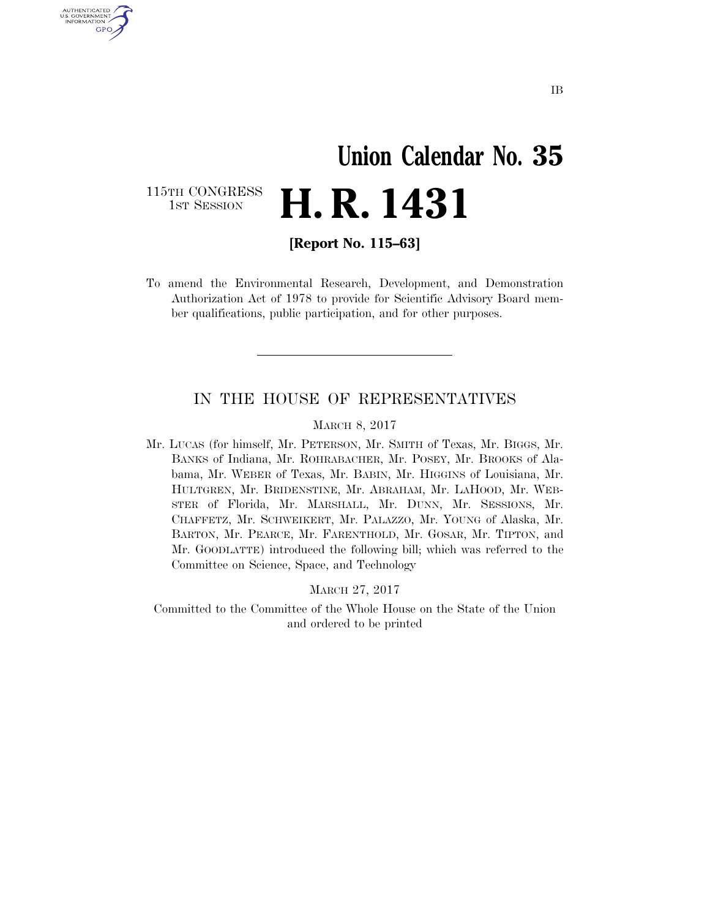# **Union Calendar No. 35 H. R. 1431**

115TH CONGRESS<br>1st Session

U.S. GOVERNMENT GPO

**[Report No. 115–63]** 

To amend the Environmental Research, Development, and Demonstration Authorization Act of 1978 to provide for Scientific Advisory Board member qualifications, public participation, and for other purposes.

#### IN THE HOUSE OF REPRESENTATIVES

#### MARCH 8, 2017

Mr. LUCAS (for himself, Mr. PETERSON, Mr. SMITH of Texas, Mr. BIGGS, Mr. BANKS of Indiana, Mr. ROHRABACHER, Mr. POSEY, Mr. BROOKS of Alabama, Mr. WEBER of Texas, Mr. BABIN, Mr. HIGGINS of Louisiana, Mr. HULTGREN, Mr. BRIDENSTINE, Mr. ABRAHAM, Mr. LAHOOD, Mr. WEB-STER of Florida, Mr. MARSHALL, Mr. DUNN, Mr. SESSIONS, Mr. CHAFFETZ, Mr. SCHWEIKERT, Mr. PALAZZO, Mr. YOUNG of Alaska, Mr. BARTON, Mr. PEARCE, Mr. FARENTHOLD, Mr. GOSAR, Mr. TIPTON, and Mr. GOODLATTE) introduced the following bill; which was referred to the Committee on Science, Space, and Technology

MARCH 27, 2017

Committed to the Committee of the Whole House on the State of the Union and ordered to be printed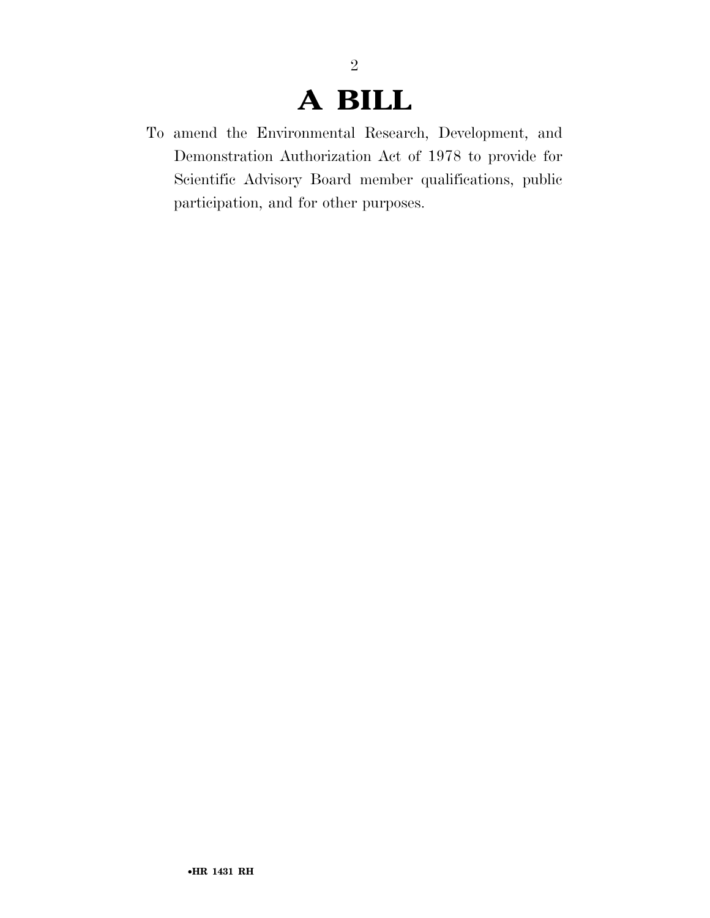## **A BILL**

2

To amend the Environmental Research, Development, and Demonstration Authorization Act of 1978 to provide for Scientific Advisory Board member qualifications, public participation, and for other purposes.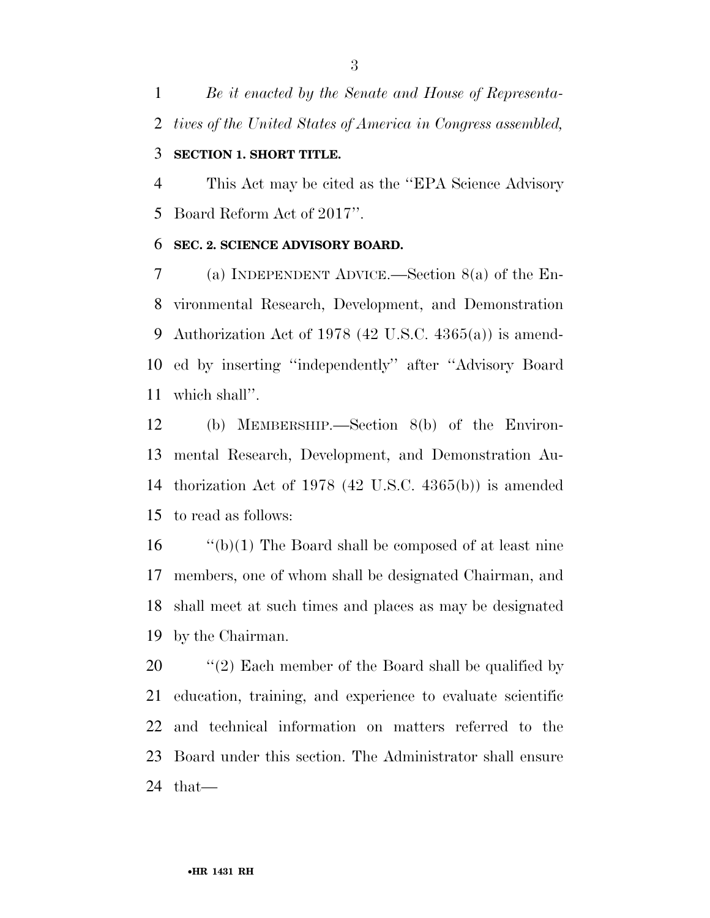*Be it enacted by the Senate and House of Representa-tives of the United States of America in Congress assembled,* 

#### **SECTION 1. SHORT TITLE.**

 This Act may be cited as the ''EPA Science Advisory Board Reform Act of 2017''.

#### **SEC. 2. SCIENCE ADVISORY BOARD.**

 (a) INDEPENDENT ADVICE.—Section 8(a) of the En- vironmental Research, Development, and Demonstration Authorization Act of 1978 (42 U.S.C. 4365(a)) is amend- ed by inserting ''independently'' after ''Advisory Board which shall''.

 (b) MEMBERSHIP.—Section 8(b) of the Environ- mental Research, Development, and Demonstration Au- thorization Act of 1978 (42 U.S.C. 4365(b)) is amended to read as follows:

 ''(b)(1) The Board shall be composed of at least nine members, one of whom shall be designated Chairman, and shall meet at such times and places as may be designated by the Chairman.

20 "(2) Each member of the Board shall be qualified by education, training, and experience to evaluate scientific and technical information on matters referred to the Board under this section. The Administrator shall ensure that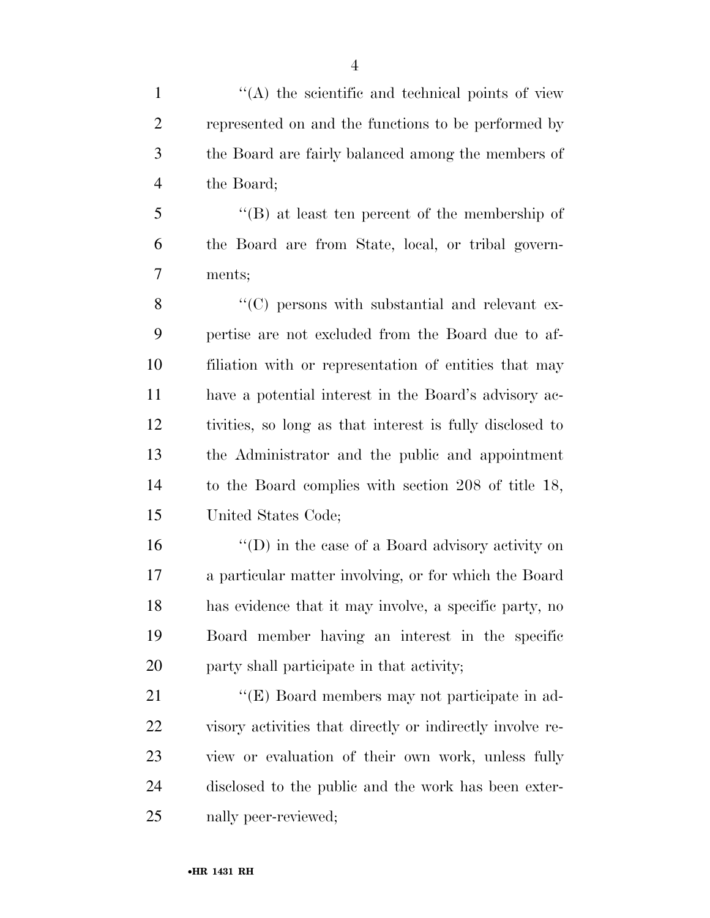1 ''(A) the scientific and technical points of view represented on and the functions to be performed by the Board are fairly balanced among the members of the Board;

 ''(B) at least ten percent of the membership of the Board are from State, local, or tribal govern-ments;

8 "(C) persons with substantial and relevant ex- pertise are not excluded from the Board due to af- filiation with or representation of entities that may have a potential interest in the Board's advisory ac- tivities, so long as that interest is fully disclosed to the Administrator and the public and appointment to the Board complies with section 208 of title 18, United States Code;

 ''(D) in the case of a Board advisory activity on a particular matter involving, or for which the Board has evidence that it may involve, a specific party, no Board member having an interest in the specific party shall participate in that activity;

21 ''(E) Board members may not participate in ad- visory activities that directly or indirectly involve re- view or evaluation of their own work, unless fully disclosed to the public and the work has been exter-nally peer-reviewed;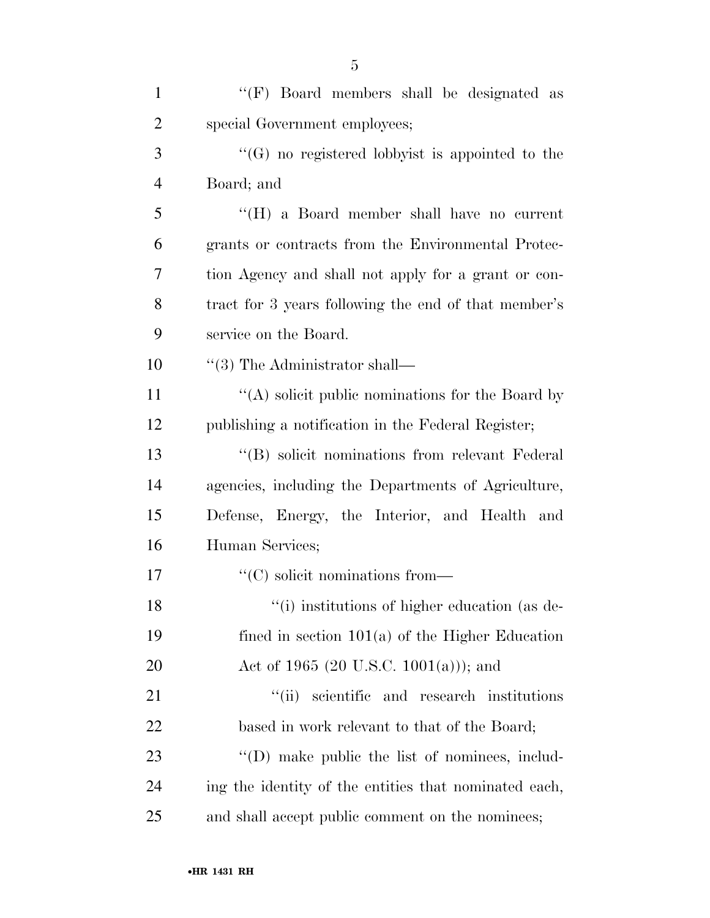| $\mathbf{1}$   | " $(F)$ Board members shall be designated as           |
|----------------|--------------------------------------------------------|
| $\overline{2}$ | special Government employees;                          |
| 3              | "(G) no registered lobbyist is appointed to the        |
| $\overline{4}$ | Board; and                                             |
| 5              | "(H) a Board member shall have no current              |
| 6              | grants or contracts from the Environmental Protec-     |
| 7              | tion Agency and shall not apply for a grant or con-    |
| 8              | tract for 3 years following the end of that member's   |
| 9              | service on the Board.                                  |
| 10             | $``(3)$ The Administrator shall—                       |
| 11             | "(A) solicit public nominations for the Board by       |
| 12             | publishing a notification in the Federal Register;     |
| 13             | "(B) solicit nominations from relevant Federal         |
| 14             | agencies, including the Departments of Agriculture,    |
| 15             | Defense, Energy, the Interior, and Health and          |
| 16             | Human Services;                                        |
| 17             | $\lq\lq$ (C) solicit nominations from—                 |
| 18             | "(i) institutions of higher education (as de-          |
| 19             | fined in section $101(a)$ of the Higher Education      |
| 20             | Act of 1965 (20 U.S.C. 1001(a))); and                  |
| 21             | scientific and research institutions<br>``(ii)         |
| 22             | based in work relevant to that of the Board;           |
| 23             | $\lq\lq$ (D) make public the list of nominees, includ- |
| 24             | ing the identity of the entities that nominated each,  |
| 25             | and shall accept public comment on the nominees;       |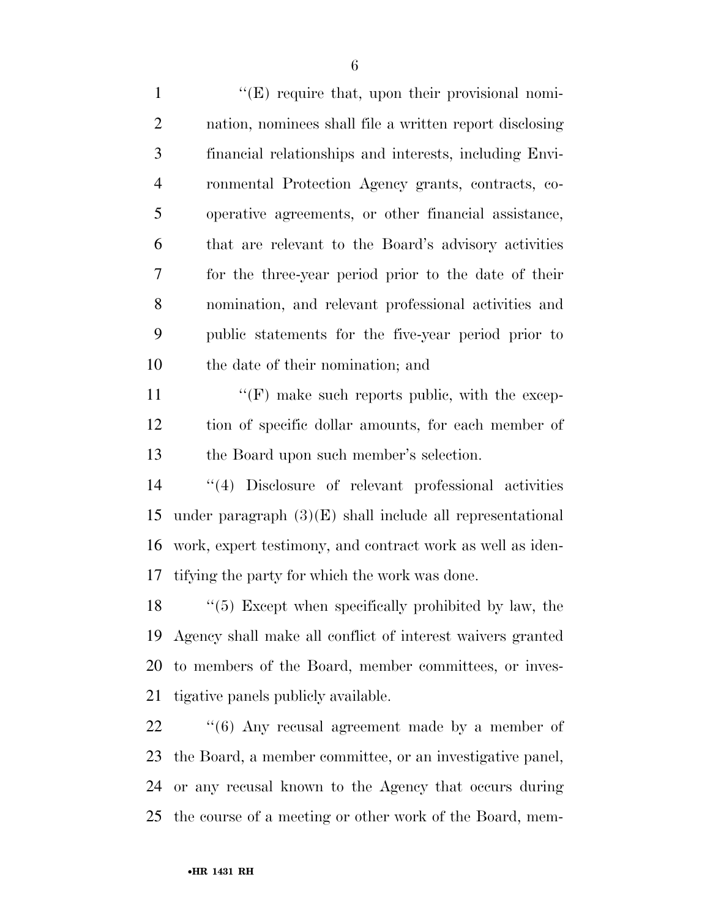1 ''(E) require that, upon their provisional nomi- nation, nominees shall file a written report disclosing financial relationships and interests, including Envi- ronmental Protection Agency grants, contracts, co- operative agreements, or other financial assistance, that are relevant to the Board's advisory activities for the three-year period prior to the date of their nomination, and relevant professional activities and public statements for the five-year period prior to the date of their nomination; and  $\langle f(\mathbf{F})\rangle$  make such reports public, with the excep-

 tion of specific dollar amounts, for each member of the Board upon such member's selection.

 ''(4) Disclosure of relevant professional activities 15 under paragraph  $(3)(E)$  shall include all representational work, expert testimony, and contract work as well as iden-tifying the party for which the work was done.

 ''(5) Except when specifically prohibited by law, the Agency shall make all conflict of interest waivers granted to members of the Board, member committees, or inves-tigative panels publicly available.

22 "(6) Any recusal agreement made by a member of the Board, a member committee, or an investigative panel, or any recusal known to the Agency that occurs during the course of a meeting or other work of the Board, mem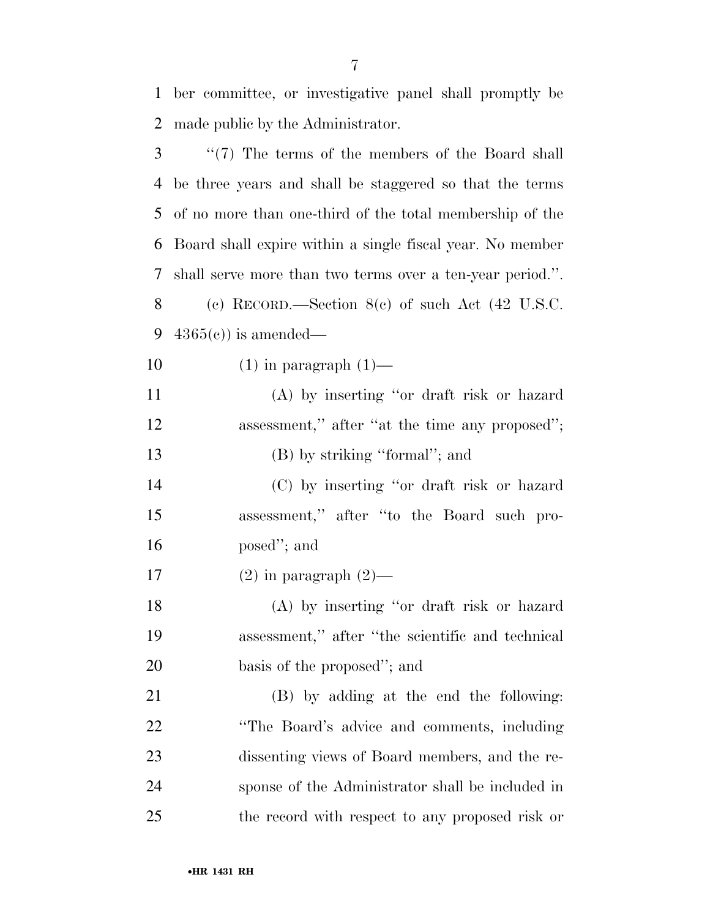ber committee, or investigative panel shall promptly be made public by the Administrator. ''(7) The terms of the members of the Board shall

 be three years and shall be staggered so that the terms of no more than one-third of the total membership of the Board shall expire within a single fiscal year. No member shall serve more than two terms over a ten-year period.''. (c) RECORD.—Section 8(c) of such Act (42 U.S.C.  $4365(e)$  is amended—

10  $(1)$  in paragraph  $(1)$ —

 (A) by inserting ''or draft risk or hazard 12 assessment," after "at the time any proposed"; 13 (B) by striking "formal"; and

 (C) by inserting ''or draft risk or hazard assessment,'' after ''to the Board such pro-posed''; and

17  $(2)$  in paragraph  $(2)$ —

 (A) by inserting ''or draft risk or hazard assessment,'' after ''the scientific and technical basis of the proposed''; and

 (B) by adding at the end the following: **''The Board's advice and comments, including**  dissenting views of Board members, and the re- sponse of the Administrator shall be included in the record with respect to any proposed risk or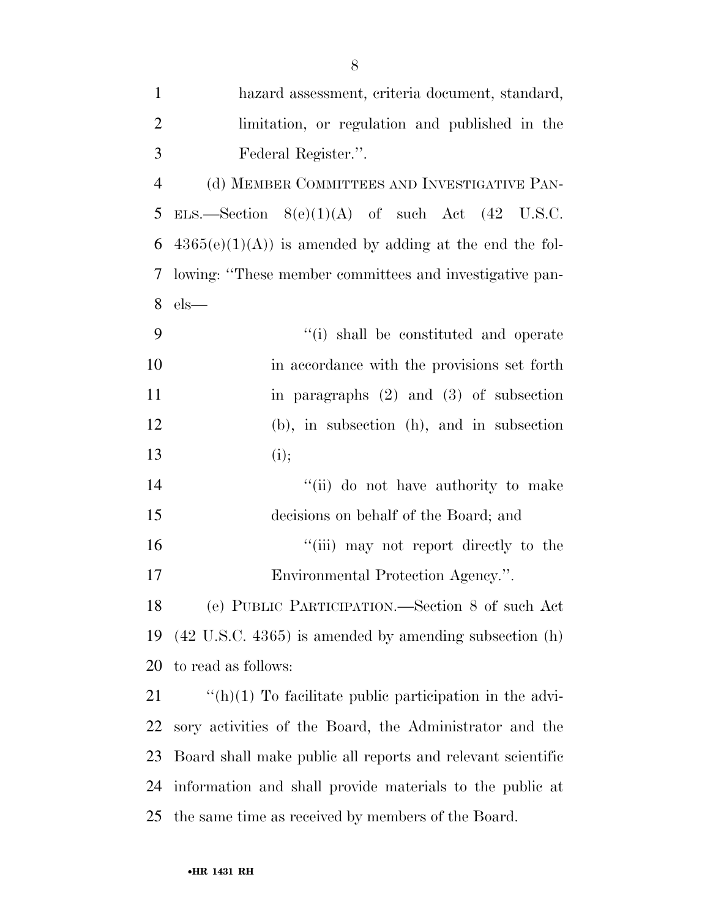| $\mathbf{1}$   | hazard assessment, criteria document, standard,                   |
|----------------|-------------------------------------------------------------------|
| $\overline{2}$ | limitation, or regulation and published in the                    |
| 3              | Federal Register.".                                               |
| $\overline{4}$ | (d) MEMBER COMMITTEES AND INVESTIGATIVE PAN-                      |
| 5              | ELS.—Section $8(e)(1)(A)$ of such Act $(42 \text{ U.S.C.})$       |
| 6              | $4365(e)(1)(A)$ is amended by adding at the end the fol-          |
| 7              | lowing: "These member committees and investigative pan-           |
| 8              | $els$ —                                                           |
| 9              | "(i) shall be constituted and operate                             |
| 10             | in accordance with the provisions set forth                       |
| 11             | in paragraphs $(2)$ and $(3)$ of subsection                       |
| 12             | (b), in subsection (h), and in subsection                         |
| 13             | (i);                                                              |
| 14             | "(ii) do not have authority to make                               |
| 15             | decisions on behalf of the Board; and                             |
| 16             | "(iii) may not report directly to the                             |
| $17\,$         | Environmental Protection Agency.".                                |
| 18             | (e) PUBLIC PARTICIPATION.—Section 8 of such Act                   |
| 19             | $(42 \text{ U.S.C. } 4365)$ is amended by amending subsection (h) |
| 20             | to read as follows:                                               |
| 21             | $\lq\lq(h)(1)$ To facilitate public participation in the advi-    |
| 22             | sory activities of the Board, the Administrator and the           |
| 23             | Board shall make public all reports and relevant scientific       |
| 24             | information and shall provide materials to the public at          |
| 25             | the same time as received by members of the Board.                |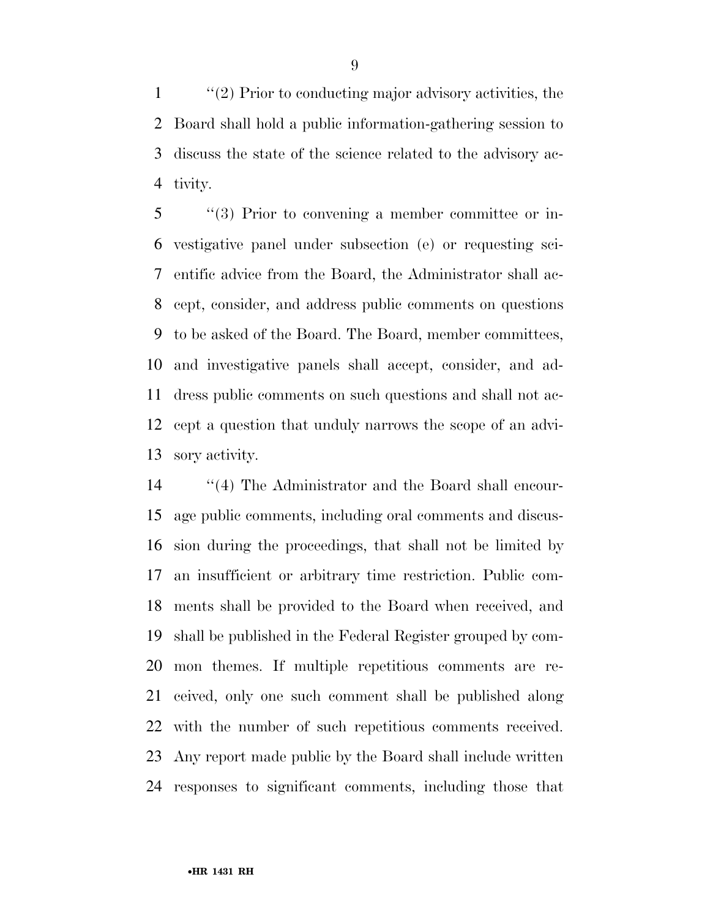''(2) Prior to conducting major advisory activities, the Board shall hold a public information-gathering session to discuss the state of the science related to the advisory ac-tivity.

 ''(3) Prior to convening a member committee or in- vestigative panel under subsection (e) or requesting sci- entific advice from the Board, the Administrator shall ac- cept, consider, and address public comments on questions to be asked of the Board. The Board, member committees, and investigative panels shall accept, consider, and ad- dress public comments on such questions and shall not ac- cept a question that unduly narrows the scope of an advi-sory activity.

 ''(4) The Administrator and the Board shall encour- age public comments, including oral comments and discus- sion during the proceedings, that shall not be limited by an insufficient or arbitrary time restriction. Public com- ments shall be provided to the Board when received, and shall be published in the Federal Register grouped by com- mon themes. If multiple repetitious comments are re- ceived, only one such comment shall be published along with the number of such repetitious comments received. Any report made public by the Board shall include written responses to significant comments, including those that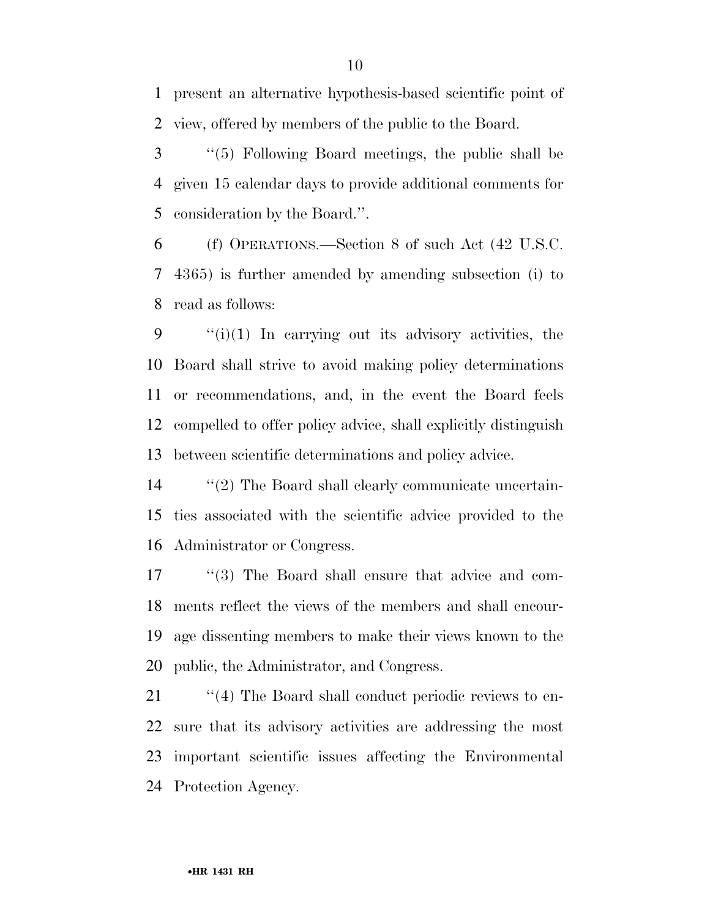present an alternative hypothesis-based scientific point of view, offered by members of the public to the Board.

 ''(5) Following Board meetings, the public shall be given 15 calendar days to provide additional comments for consideration by the Board.''.

 (f) OPERATIONS.—Section 8 of such Act (42 U.S.C. 4365) is further amended by amending subsection (i) to read as follows:

 $\qquad$  "(i)(1) In carrying out its advisory activities, the Board shall strive to avoid making policy determinations or recommendations, and, in the event the Board feels compelled to offer policy advice, shall explicitly distinguish between scientific determinations and policy advice.

14  $\frac{1}{2}$  The Board shall clearly communicate uncertain- ties associated with the scientific advice provided to the Administrator or Congress.

 ''(3) The Board shall ensure that advice and com- ments reflect the views of the members and shall encour- age dissenting members to make their views known to the public, the Administrator, and Congress.

 $\frac{1}{2}$  (4) The Board shall conduct periodic reviews to en- sure that its advisory activities are addressing the most important scientific issues affecting the Environmental Protection Agency.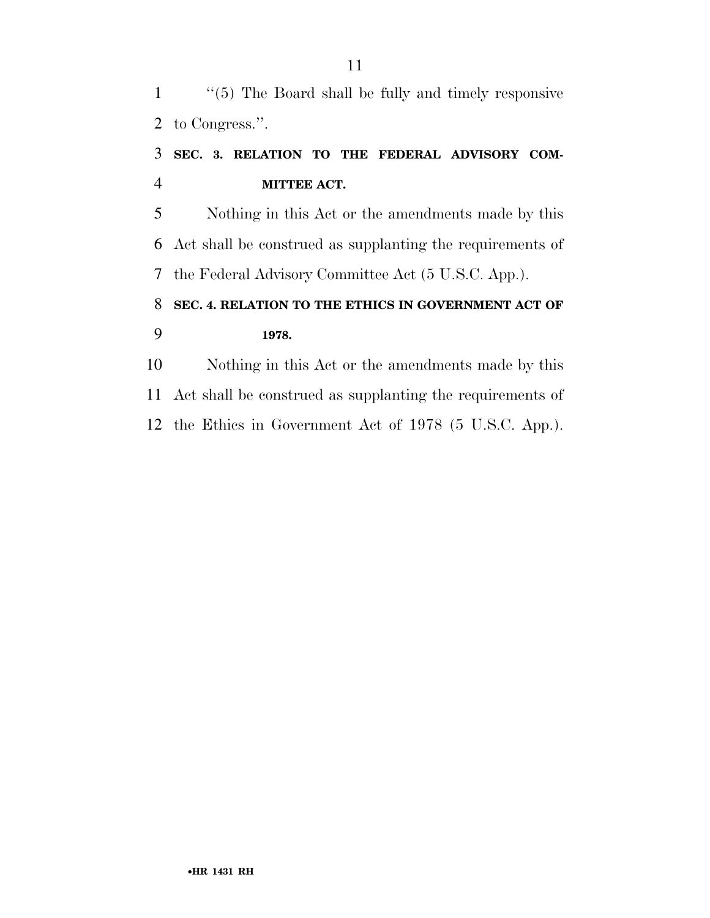''(5) The Board shall be fully and timely responsive to Congress.''.

### **SEC. 3. RELATION TO THE FEDERAL ADVISORY COM-MITTEE ACT.**

 Nothing in this Act or the amendments made by this Act shall be construed as supplanting the requirements of the Federal Advisory Committee Act (5 U.S.C. App.).

### **SEC. 4. RELATION TO THE ETHICS IN GOVERNMENT ACT OF 1978.**

 Nothing in this Act or the amendments made by this Act shall be construed as supplanting the requirements of the Ethics in Government Act of 1978 (5 U.S.C. App.).